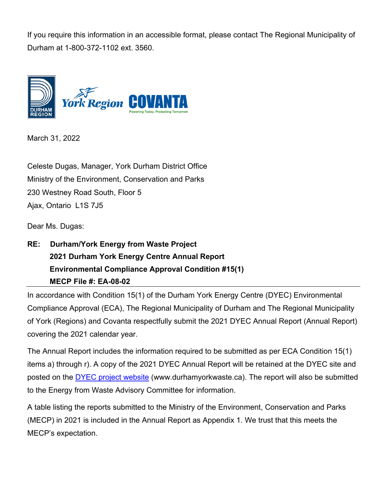If you require this information in an accessible format, please contact The Regional Municipality of Durham at 1-800-372-1102 ext. 3560.



March 31, 2022

Celeste Dugas, Manager, York Durham District Office Ministry of the Environment, Conservation and Parks 230 Westney Road South, Floor 5 Ajax, Ontario L1S 7J5

Dear Ms. Dugas:

**RE: Durham/York Energy from Waste Project 2021 Durham York Energy Centre Annual Report Environmental Compliance Approval Condition #15(1) MECP File #: EA-08-02**

In accordance with Condition 15(1) of the Durham York Energy Centre (DYEC) Environmental Compliance Approval (ECA), The Regional Municipality of Durham and The Regional Municipality of York (Regions) and Covanta respectfully submit the 2021 DYEC Annual Report (Annual Report) covering the 2021 calendar year.

The Annual Report includes the information required to be submitted as per ECA Condition 15(1) items a) through r). A copy of the 2021 DYEC Annual Report will be retained at the DYEC site and posted on the [DYEC project website](http://www.durhamyorkwaste.ca/) (www.durhamyorkwaste.ca). The report will also be submitted to the Energy from Waste Advisory Committee for information.

A table listing the reports submitted to the Ministry of the Environment, Conservation and Parks (MECP) in 2021 is included in the Annual Report as Appendix 1. We trust that this meets the MECP's expectation.